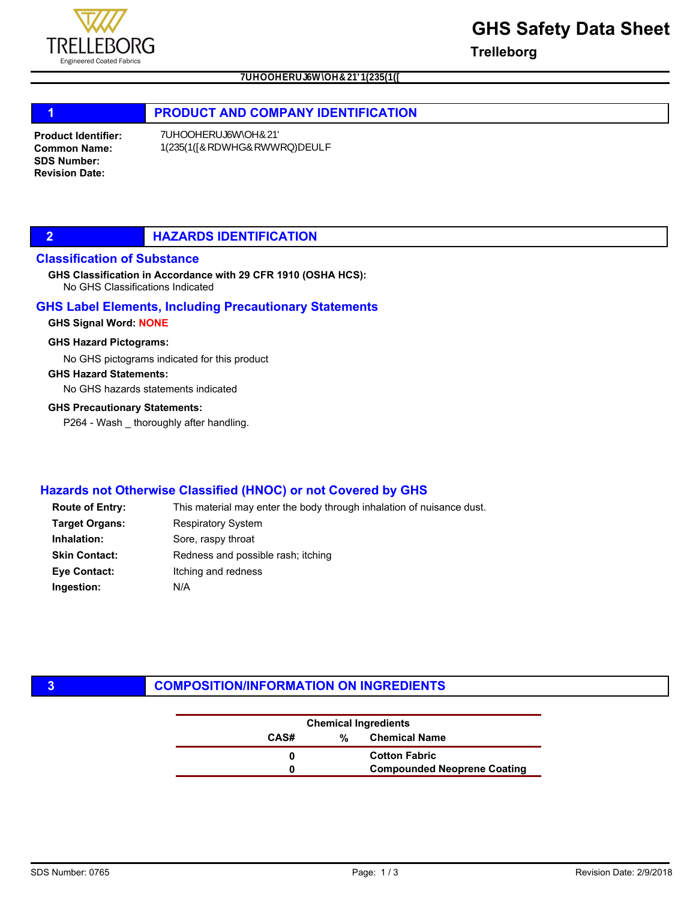

**Trelleborg**

# 1 **PRODUCT AND COMPANY IDENTIFICATION**

Product Identifier: Common Name: SDS Number: Revision Date:

## **2 HAZARDS IDENTIFICATION**

## Classification of Substance

No GHS Classifications Indicated GHS Classification in Accordance with 29 CFR 1910 (OSHA HCS):

### GHS Label Elements, Including Precautionary Statements

#### GHS Signal Word: NONE

#### GHS Hazard Pictograms:

No GHS pictograms indicated for this product

### GHS Hazard Statements:

No GHS hazards statements indicated

#### GHS Precautionary Statements:

P264 - Wash \_ thoroughly after handling.

## Hazards not Otherwise Classified (HNOC) or not Covered by GHS

| <b>Route of Entry:</b> | This material may enter the body through inhalation of nuisance dust. |
|------------------------|-----------------------------------------------------------------------|
| <b>Target Organs:</b>  | <b>Respiratory System</b>                                             |
| Inhalation:            | Sore, raspy throat                                                    |
| <b>Skin Contact:</b>   | Redness and possible rash; itching                                    |
| Eye Contact:           | Itching and redness                                                   |
| Ingestion:             | N/A                                                                   |

## **3 COMPOSITION/INFORMATION ON INGREDIENTS**

|      | <b>Chemical Ingredients</b> |                                    |
|------|-----------------------------|------------------------------------|
| CAS# | %                           | <b>Chemical Name</b>               |
|      |                             | <b>Cotton Fabric</b>               |
|      |                             | <b>Compounded Neoprene Coating</b> |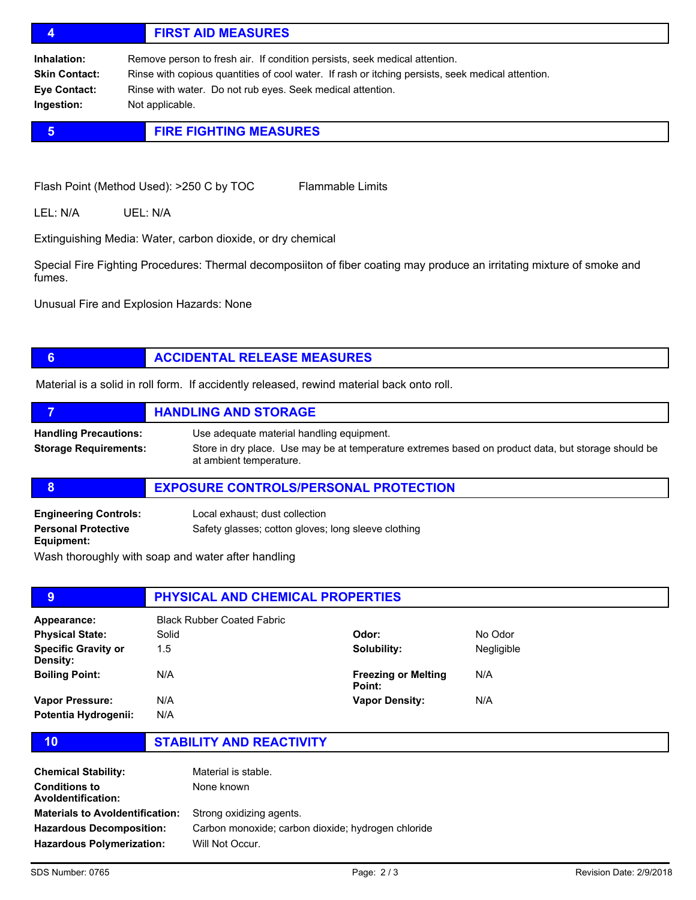# 4 FIRST AID MEASURES

Inhalation: Remove person to fresh air. If condition persists, seek medical attention. Skin Contact: Rinse with copious quantities of cool water. If rash or itching persists, seek medical attention. Eye Contact: Rinse with water. Do not rub eyes. Seek medical attention. Ingestion: Not applicable.

# **5 FIRE FIGHTING MEASURES**

Flash Point (Method Used): >250 C by TOC Flammable Limits

LEL: N/A UEL: N/A

Extinguishing Media: Water, carbon dioxide, or dry chemical

Special Fire Fighting Procedures: Thermal decomposiiton of fiber coating may produce an irritating mixture of smoke and fumes.

Unusual Fire and Explosion Hazards: None

# **6 ACCIDENTAL RELEASE MEASURES**

Material is a solid in roll form. If accidently released, rewind material back onto roll.

|                                                              | <b>HANDLING AND STORAGE</b>                                                                                                                                                 |
|--------------------------------------------------------------|-----------------------------------------------------------------------------------------------------------------------------------------------------------------------------|
| <b>Handling Precautions:</b><br><b>Storage Requirements:</b> | Use adequate material handling equipment.<br>Store in dry place. Use may be at temperature extremes based on product data, but storage should be<br>at ambient temperature. |
|                                                              | <b>EXPOSURE CONTROLS/PERSONAL PROTECTION</b>                                                                                                                                |
| <b>Engineering Controls:</b>                                 | Local exhaust: dust collection                                                                                                                                              |

Safety glasses; cotton gloves; long sleeve clothing

Equipment:

Wash thoroughly with soap and water after handling

| 9                                      | <b>PHYSICAL AND CHEMICAL PROPERTIES</b> |                                      |            |
|----------------------------------------|-----------------------------------------|--------------------------------------|------------|
| Appearance:                            | <b>Black Rubber Coated Fabric</b>       |                                      |            |
| <b>Physical State:</b>                 | Solid                                   | Odor:                                | No Odor    |
| <b>Specific Gravity or</b><br>Density: | 1.5                                     | Solubility:                          | Negligible |
| <b>Boiling Point:</b>                  | N/A                                     | <b>Freezing or Melting</b><br>Point: | N/A        |
| Vapor Pressure:                        | N/A                                     | <b>Vapor Density:</b>                | N/A        |
| Potentia Hydrogenii:                   | N/A                                     |                                      |            |

Personal Protective

10 STABILITY AND REACTIVITY

| Material is stable.                                |
|----------------------------------------------------|
| None known                                         |
| Strong oxidizing agents.                           |
| Carbon monoxide; carbon dioxide; hydrogen chloride |
| Will Not Occur.                                    |
|                                                    |